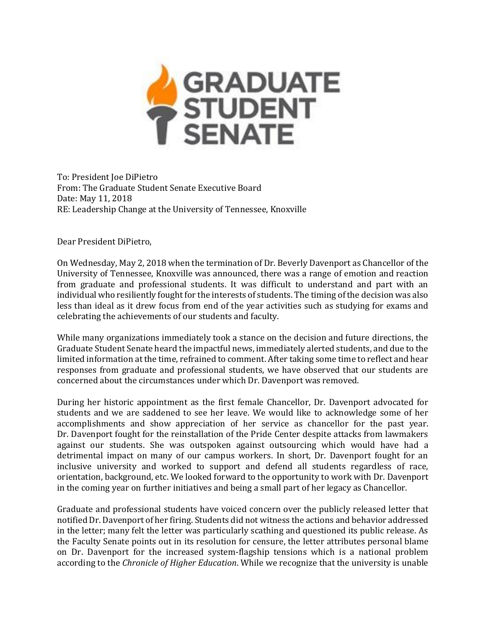

To: President Joe DiPietro From: The Graduate Student Senate Executive Board Date: May 11, 2018 RE: Leadership Change at the University of Tennessee, Knoxville

Dear President DiPietro,

On Wednesday, May 2, 2018 when the termination of Dr. Beverly Davenport as Chancellor of the University of Tennessee, Knoxville was announced, there was a range of emotion and reaction from graduate and professional students. It was difficult to understand and part with an individual who resiliently fought for the interests of students. The timing of the decision was also less than ideal as it drew focus from end of the year activities such as studying for exams and celebrating the achievements of our students and faculty.

While many organizations immediately took a stance on the decision and future directions, the Graduate Student Senate heard the impactful news, immediately alerted students, and due to the limited information at the time, refrained to comment. After taking some time to reflect and hear responses from graduate and professional students, we have observed that our students are concerned about the circumstances under which Dr. Davenport was removed.

During her historic appointment as the first female Chancellor, Dr. Davenport advocated for students and we are saddened to see her leave. We would like to acknowledge some of her accomplishments and show appreciation of her service as chancellor for the past year. Dr. Davenport fought for the reinstallation of the Pride Center despite attacks from lawmakers against our students. She was outspoken against outsourcing which would have had a detrimental impact on many of our campus workers. In short, Dr. Davenport fought for an inclusive university and worked to support and defend all students regardless of race, orientation, background, etc. We looked forward to the opportunity to work with Dr. Davenport in the coming year on further initiatives and being a small part of her legacy as Chancellor.

Graduate and professional students have voiced concern over the publicly released letter that notified Dr. Davenport of her firing. Students did not witness the actions and behavior addressed in the letter; many felt the letter was particularly scathing and questioned its public release. As the Faculty Senate points out in its resolution for censure, the letter attributes personal blame on Dr. Davenport for the increased system-flagship tensions which is a national problem according to the *Chronicle of Higher Education*. While we recognize that the university is unable